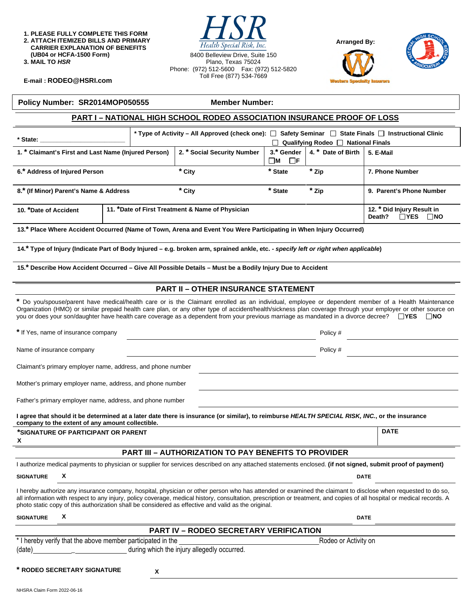**1. PLEASE FULLY COMPLETE THIS FORM 2. ATTACH ITEMIZED BILLS AND PRIMARY CARRIER EXPLANATION OF BENEFITS (UB04 or HCFA-1500 Form)** 

**3. MAIL TO** *HSR* 

Health Special Risk, Inc. 8400 Belleview Drive, Suite 150 Plano, Texas 75024 Phone: (972) 512-5600 Fax: (972) 512-5820 Toll Free (877) 534-7669



**DATE** 



**E-mail : [RODEO@HSRI.com](mailto:RODEO@HSRI.com)**

#### **Policy Number: SR2014MOP050555 Member Number:**

# **PART I – NATIONAL HIGH SCHOOL RODEO ASSOCIATION INSURANCE PROOF OF LOSS**

| * State:                                             |                                                  | * Type of Activity – All Approved (check one): $\Box$ Safety Seminar $\Box$ State Finals $\Box$ Instructional Clinic |                              | $\mid$ Qualifying Rodeo $\sqcap$ National Finals                     |                          |
|------------------------------------------------------|--------------------------------------------------|----------------------------------------------------------------------------------------------------------------------|------------------------------|----------------------------------------------------------------------|--------------------------|
| 1. * Claimant's First and Last Name (Injured Person) |                                                  | 2. * Social Security Number                                                                                          | 3.* Gender<br>$\Box$ F<br>∐M | 4. * Date of Birth                                                   | 5. E-Mail                |
| 6.* Address of Injured Person                        |                                                  | * City                                                                                                               | * State                      | * Zip                                                                | 7. Phone Number          |
| 8.* (If Minor) Parent's Name & Address               |                                                  | * City                                                                                                               | * State                      | * Zip                                                                | 9. Parent's Phone Number |
| 10. *Date of Accident                                | 11. *Date of First Treatment & Name of Physician |                                                                                                                      |                              | 12. * Did Injury Result in<br>$\square$ NO<br>$\sqcap$ YES<br>Death? |                          |

**13.\* Place Where Accident Occurred (Name of Town, Arena and Event You Were Participating in When Injury Occurred)** 

14.<sup>\*</sup> Type of Injury (Indicate Part of Body Injured – e.g. broken arm, sprained ankle, etc. - specify left or right when applicable)

**15.\* Describe How Accident Occurred – Give All Possible Details – Must be a Bodily Injury Due to Accident** 

#### **PART II – OTHER INSURANCE STATEMENT**

**\*** Do you/spouse/parent have medical/health care or is the Claimant enrolled as an individual, employee or dependent member of a Health Maintenance Organization (HMO) or similar prepaid health care plan, or any other type of accident/health/sickness plan coverage through your employer or other source on you or does your son/daughter have health care coverage as a dependent from your previous marriage as mandated in a divorce decree?  $\Box$ YES  $\Box$ NO

**\*** If Yes, name of insurance company Policy #

Name of insurance company **Policy #** Policy # Policy # Policy # Policy # Policy # Policy # Policy # Policy # Policy # Policy # Policy # Policy # Policy # Policy # Policy # Policy # Policy # Policy # Policy # Policy # Polic

Claimant's primary employer name, address, and phone number

Mother's primary employer name, address, and phone number

Father's primary employer name, address, and phone number

**I agree that should it be determined at a later date there is insurance (or similar), to reimburse** *HEALTH SPECIAL RISK, INC.***, or the insurance company to the extent of any amount collectible.** 

**\*SIGNATURE OF PARTICIPANT OR PARENT X** 

#### **PART III – AUTHORIZATION TO PAY BENEFITS TO PROVIDER**

|                                                             | I authorize medical payments to physician or supplier for services described on any attached statements enclosed. (if not signed, submit proof of payment)                                                                                                                                                                                                                                                                                     |                      |  |  |  |  |
|-------------------------------------------------------------|------------------------------------------------------------------------------------------------------------------------------------------------------------------------------------------------------------------------------------------------------------------------------------------------------------------------------------------------------------------------------------------------------------------------------------------------|----------------------|--|--|--|--|
| <b>SIGNATURE</b>                                            | X                                                                                                                                                                                                                                                                                                                                                                                                                                              | <b>DATE</b>          |  |  |  |  |
|                                                             | I hereby authorize any insurance company, hospital, physician or other person who has attended or examined the claimant to disclose when requested to do so,<br>all information with respect to any injury, policy coverage, medical history, consultation, prescription or treatment, and copies of all hospital or medical records. A<br>photo static copy of this authorization shall be considered as effective and valid as the original. |                      |  |  |  |  |
| <b>SIGNATURE</b>                                            | х                                                                                                                                                                                                                                                                                                                                                                                                                                              | <b>DATE</b>          |  |  |  |  |
| <b>PART IV – RODEO SECRETARY VERIFICATION</b>               |                                                                                                                                                                                                                                                                                                                                                                                                                                                |                      |  |  |  |  |
| * I hereby verify that the above member participated in the |                                                                                                                                                                                                                                                                                                                                                                                                                                                | Rodeo or Activity on |  |  |  |  |

(date) \_ during which the injury allegedly occurred.

**\* RODEO SECRETARY SIGNATURE X**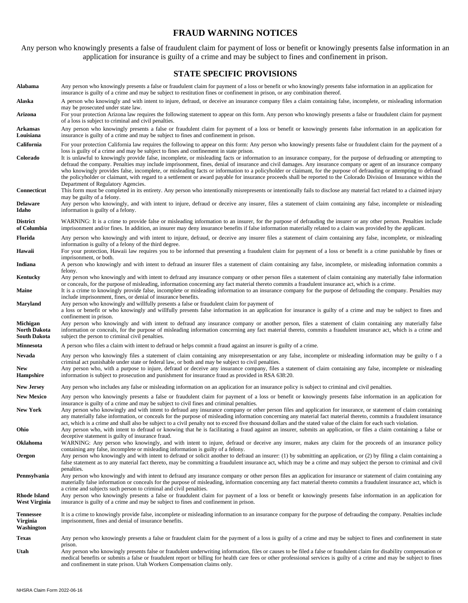### **FRAUD WARNING NOTICES**

Any person who knowingly presents a false of fraudulent claim for payment of loss or benefit or knowingly presents false information in an application for insurance is guilty of a crime and may be subject to fines and confinement in prison.

# **STATE SPECIFIC PROVISIONS**

| Alabama                                         | Any person who knowingly presents a false or fraudulent claim for payment of a loss or benefit or who knowingly presents false information in an application for<br>insurance is guilty of a crime and may be subject to restitution fines or confinement in prison, or any combination thereof.                                                                                                                                                                                                                                                                                                                                                                                                                                                                                                                 |
|-------------------------------------------------|------------------------------------------------------------------------------------------------------------------------------------------------------------------------------------------------------------------------------------------------------------------------------------------------------------------------------------------------------------------------------------------------------------------------------------------------------------------------------------------------------------------------------------------------------------------------------------------------------------------------------------------------------------------------------------------------------------------------------------------------------------------------------------------------------------------|
| Alaska                                          | A person who knowingly and with intent to injure, defraud, or deceive an insurance company files a claim containing false, incomplete, or misleading information<br>may be prosecuted under state law.                                                                                                                                                                                                                                                                                                                                                                                                                                                                                                                                                                                                           |
| Arizona                                         | For your protection Arizona law requires the following statement to appear on this form. Any person who knowingly presents a false or fraudulent claim for payment<br>of a loss is subject to criminal and civil penalties.                                                                                                                                                                                                                                                                                                                                                                                                                                                                                                                                                                                      |
| Arkansas<br>Louisiana                           | Any person who knowingly presents a false or fraudulent claim for payment of a loss or benefit or knowingly presents false information in an application for<br>insurance is guilty of a crime and may be subject to fines and confinement in prison.                                                                                                                                                                                                                                                                                                                                                                                                                                                                                                                                                            |
| California                                      | For your protection California law requires the following to appear on this form: Any person who knowingly presents false or fraudulent claim for the payment of a                                                                                                                                                                                                                                                                                                                                                                                                                                                                                                                                                                                                                                               |
| Colorado                                        | loss is guilty of a crime and may be subject to fines and confinement in state prison.<br>It is unlawful to knowingly provide false, incomplete, or misleading facts or information to an insurance company, for the purpose of defrauding or attempting to<br>defraud the company. Penalties may include imprisonment, fines, denial of insurance and civil damages. Any insurance company or agent of an insurance company<br>who knowingly provides false, incomplete, or misleading facts or information to a policyholder or claimant, for the purpose of defrauding or attempting to defraud<br>the policyholder or claimant, with regard to a settlement or award payable for insurance proceeds shall be reported to the Colorado Division of Insurance within the<br>Department of Regulatory Agencies. |
| Connecticut                                     | This form must be completed in its entirety. Any person who intentionally misrepresents or intentionally fails to disclose any material fact related to a claimed injury<br>may be guilty of a felony.                                                                                                                                                                                                                                                                                                                                                                                                                                                                                                                                                                                                           |
| <b>Delaware</b><br>Idaho                        | Any person who knowingly, and with intent to injure, defraud or deceive any insurer, files a statement of claim containing any false, incomplete or misleading<br>information is guilty of a felony.                                                                                                                                                                                                                                                                                                                                                                                                                                                                                                                                                                                                             |
| <b>District</b><br>of Columbia                  | WARNING: It is a crime to provide false or misleading information to an insurer, for the purpose of defrauding the insurer or any other person. Penalties include<br>imprisonment and/or fines. In addition, an insurer may deny insurance benefits if false information materially related to a claim was provided by the applicant.                                                                                                                                                                                                                                                                                                                                                                                                                                                                            |
| Florida                                         | Any person who knowingly and with intent to injure, defraud, or deceive any insurer files a statement of claim containing any false, incomplete, or misleading<br>information is guilty of a felony of the third degree.                                                                                                                                                                                                                                                                                                                                                                                                                                                                                                                                                                                         |
| Hawaii                                          | For your protection, Hawaii law requires you to be informed that presenting a fraudulent claim for payment of a loss or benefit is a crime punishable by fines or<br>imprisonment, or both.                                                                                                                                                                                                                                                                                                                                                                                                                                                                                                                                                                                                                      |
| Indiana                                         | A person who knowingly and with intent to defraud an insurer files a statement of claim containing any false, incomplete, or misleading information commits a<br>felony.                                                                                                                                                                                                                                                                                                                                                                                                                                                                                                                                                                                                                                         |
| Kentucky                                        | Any person who knowingly and with intent to defraud any insurance company or other person files a statement of claim containing any materially false information<br>or conceals, for the purpose of misleading, information concerning any fact material thereto commits a fraudulent insurance act, which is a crime.                                                                                                                                                                                                                                                                                                                                                                                                                                                                                           |
| Maine                                           | It is a crime to knowingly provide false, incomplete or misleading information to an insurance company for the purpose of defrauding the company. Penalties may<br>include imprisonment, fines, or denial of insurance benefits.                                                                                                                                                                                                                                                                                                                                                                                                                                                                                                                                                                                 |
| <b>Maryland</b>                                 | Any person who knowingly and willfully presents a false or fraudulent claim for payment of<br>a loss or benefit or who knowingly and willfully presents false information in an application for insurance is guilty of a crime and may be subject to fines and<br>confinement in prison.                                                                                                                                                                                                                                                                                                                                                                                                                                                                                                                         |
| Michigan<br><b>North Dakota</b><br>South Dakota | Any person who knowingly and with intent to defraud any insurance company or another person, files a statement of claim containing any materially false<br>information or conceals, for the purpose of misleading information concerning any fact material thereto, commits a fraudulent insurance act, which is a crime and<br>subject the person to criminal civil penalties.                                                                                                                                                                                                                                                                                                                                                                                                                                  |
| <b>Minnesota</b>                                | A person who files a claim with intent to defraud or helps commit a fraud against an insurer is guilty of a crime.                                                                                                                                                                                                                                                                                                                                                                                                                                                                                                                                                                                                                                                                                               |
| Nevada                                          | Any person who knowingly files a statement of claim containing any misrepresentation or any false, incomplete or misleading information may be guilty of a<br>criminal act punishable under state or federal law, or both and may be subject to civil penalties.                                                                                                                                                                                                                                                                                                                                                                                                                                                                                                                                                 |
| <b>New</b><br><b>Hampshire</b>                  | Any person who, with a purpose to injure, defraud or deceive any insurance company, files a statement of claim containing any false, incomplete or misleading<br>information is subject to prosecution and punishment for insurance fraud as provided in RSA 638:20.                                                                                                                                                                                                                                                                                                                                                                                                                                                                                                                                             |
| <b>New Jersey</b>                               | Any person who includes any false or misleading information on an application for an insurance policy is subject to criminal and civil penalties.                                                                                                                                                                                                                                                                                                                                                                                                                                                                                                                                                                                                                                                                |
| <b>New Mexico</b>                               | Any person who knowingly presents a false or fraudulent claim for payment of a loss or benefit or knowingly presents false information in an application for<br>insurance is guilty of a crime and may be subject to civil fines and criminal penalties.                                                                                                                                                                                                                                                                                                                                                                                                                                                                                                                                                         |
| <b>New York</b>                                 | Any person who knowingly and with intent to defraud any insurance company or other person files and application for insurance, or statement of claim containing<br>any materially false information, or conceals for the purpose of misleading information concerning any material fact material thereto, commits a fraudulent insurance<br>act, which is a crime and shall also be subject to a civil penalty not to exceed five thousand dollars and the stated value of the claim for each such violation.                                                                                                                                                                                                                                                                                                    |
| Ohio                                            | Any person who, with intent to defraud or knowing that he is facilitating a fraud against an insurer, submits an application, or files a claim containing a false or<br>deceptive statement is guilty of insurance fraud.                                                                                                                                                                                                                                                                                                                                                                                                                                                                                                                                                                                        |
| <b>Oklahoma</b>                                 | WARNING: Any person who knowingly, and with intent to injure, defraud or deceive any insurer, makes any claim for the proceeds of an insurance policy<br>containing any false, incomplete or misleading information is guilty of a felony.                                                                                                                                                                                                                                                                                                                                                                                                                                                                                                                                                                       |
| Oregon                                          | Any person who knowingly and with intent to defraud or solicit another to defraud an insurer: (1) by submitting an application, or (2) by filing a claim containing a<br>false statement as to any material fact thereto, may be committing a fraudulent insurance act, which may be a crime and may subject the person to criminal and civil                                                                                                                                                                                                                                                                                                                                                                                                                                                                    |
| Pennsylvania                                    | penalties.<br>Any person who knowingly and with intent to defraud any insurance company or other person files an application for insurance or statement of claim containing any<br>materially false information or conceals for the purpose of misleading, information concerning any fact material thereto commits a fraudulent insurance act, which is                                                                                                                                                                                                                                                                                                                                                                                                                                                         |
| Rhode Island<br>West Virginia                   | a crime and subjects such person to criminal and civil penalties.<br>Any person who knowingly presents a false or fraudulent claim for payment of a loss or benefit or knowingly presents false information in an application for<br>insurance is guilty of a crime and may be subject to fines and confinement in prison.                                                                                                                                                                                                                                                                                                                                                                                                                                                                                       |
| <b>Tennessee</b><br>Virginia<br>Washington      | It is a crime to knowingly provide false, incomplete or misleading information to an insurance company for the purpose of defrauding the company. Penalties include<br>imprisonment, fines and denial of insurance benefits.                                                                                                                                                                                                                                                                                                                                                                                                                                                                                                                                                                                     |
| <b>Texas</b>                                    | Any person who knowingly presents a false or fraudulent claim for the payment of a loss is guilty of a crime and may be subject to fines and confinement in state                                                                                                                                                                                                                                                                                                                                                                                                                                                                                                                                                                                                                                                |
| Utah                                            | prison.<br>Any person who knowingly presents false or fraudulent underwriting information, files or causes to be filed a false or fraudulent claim for disability compensation or<br>medical benefits or submits a false or fraudulent report or billing for health care fees or other professional services is guilty of a crime and may be subject to fines<br>and confinement in state prison. Utah Workers Compensation claims only.                                                                                                                                                                                                                                                                                                                                                                         |